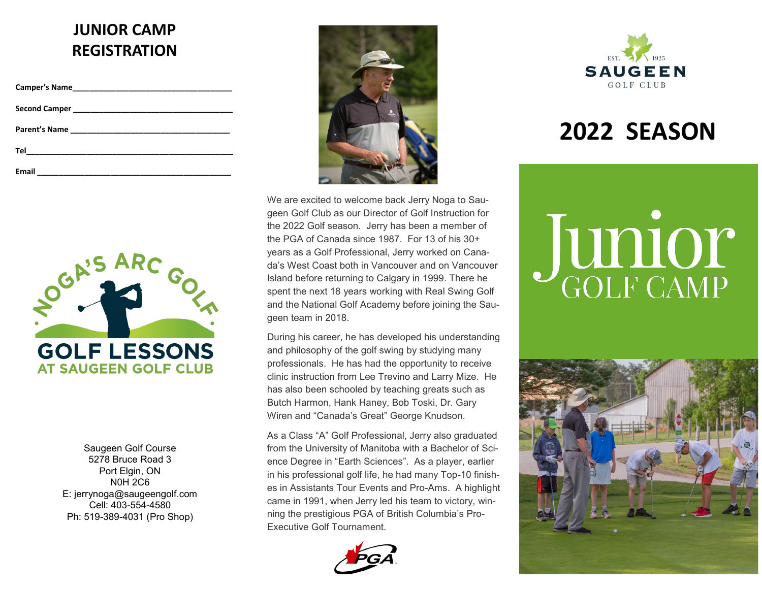# **JUNIOR CAMP REGISTRATION**

| Email<br><u> 1989 - John Stein, Amerikaansk politiker (</u> † 1920) |  |
|---------------------------------------------------------------------|--|



Saugeen Golf Course 5278 Bruce Road 3 Port Elgin, ON N0H 2C6 E: jerrynoga@saugeengolf.com Cell: 403-554-4580 Ph: 519-389-4031 (Pro Shop)



We are excited to welcome back Jerry Noga to Saugeen Golf Club as our Director of Golf Instruction for the 2022 Golf season. Jerry has been a member of the PGA of Canada since 1987. For 13 of his 30+ years as a Golf Professional, Jerry worked on Canada's West Coast both in Vancouver and on Vancouver Island before returning to Calgary in 1999. There he spent the next 18 years working with Real Swing Golf and the National Golf Academy before joining the Saugeen team in 2018.

During his career, he has developed his understanding and philosophy of the golf swing by studying many professionals. He has had the opportunity to receive clinic instruction from Lee Trevino and Larry Mize. He has also been schooled by teaching greats such as Butch Harmon, Hank Haney, Bob Toski, Dr. Gary Wiren and "Canada's Great" George Knudson.

As a Class "A" Golf Professional, Jerry also graduated from the University of Manitoba with a Bachelor of Science Degree in "Earth Sciences". As a player, earlier in his professional golf life, he had many Top-10 finishes in Assistants Tour Events and Pro-Ams. A highlight came in 1991, when Jerry led his team to victory, winning the prestigious PGA of British Columbia's Pro-Executive Golf Tournament.





# **2022 SEASON**

# Junior